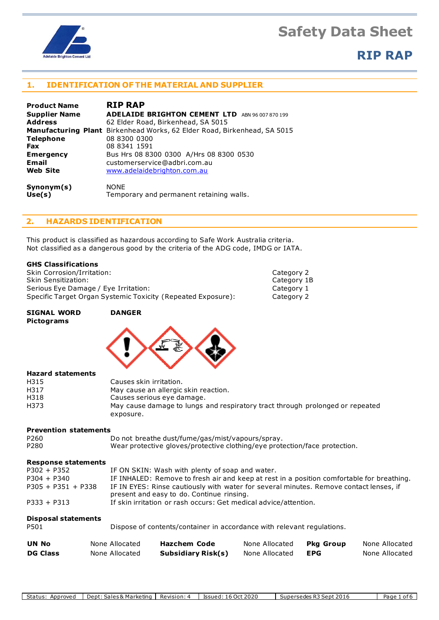

## **RIP RAP**

## **1. IDENTIFICATION OF THE MATERIAL AND SUPPLIER**

| <b>Product Name</b>  | <b>RIP RAP</b>                                                           |
|----------------------|--------------------------------------------------------------------------|
| <b>Supplier Name</b> | <b>ADELAIDE BRIGHTON CEMENT LTD</b><br>ABN 96 007 870 199                |
| <b>Address</b>       | 62 Elder Road, Birkenhead, SA 5015                                       |
|                      | Manufacturing Plant Birkenhead Works, 62 Elder Road, Birkenhead, SA 5015 |
| <b>Telephone</b>     | 08 8300 0300                                                             |
| Fax                  | 08 8341 1591                                                             |
| <b>Emergency</b>     | Bus Hrs 08 8300 0300 A/Hrs 08 8300 0530                                  |
| Email                | customerservice@adbri.com.au                                             |
| <b>Web Site</b>      | www.adelaidebrighton.com.au                                              |
| Synonym(s)           | <b>NONE</b>                                                              |
| Use(s)               | Temporary and permanent retaining walls.                                 |

### **2. HAZARDS IDENTIFICATION**

This product is classified as hazardous according to Safe Work Australia criteria. Not classified as a dangerous good by the criteria of the ADG code, IMDG or IATA.

### **GHS Classifications**

| Skin Corrosion/Irritation:                                   | Category 2  |
|--------------------------------------------------------------|-------------|
| Skin Sensitization:                                          | Category 1B |
| Serious Eye Damage / Eye Irritation:                         | Category 1  |
| Specific Target Organ Systemic Toxicity (Repeated Exposure): | Category 2  |

exposure.

| <b>SIGNAL WORD</b><br><b>Pictograms</b> | <b>DANGER</b>                                                                 |
|-----------------------------------------|-------------------------------------------------------------------------------|
|                                         |                                                                               |
|                                         |                                                                               |
| <b>Hazard statements</b>                |                                                                               |
| H315                                    | Causes skin irritation.                                                       |
| H317                                    | May cause an allergic skin reaction.                                          |
| H318                                    | Causes serious eye damage.                                                    |
| H373                                    | May cause damage to lungs and respiratory tract through prolonged or repeated |

#### **Prevention statements**

| P260 | Do not breathe dust/fume/gas/mist/vapours/spray.                           |
|------|----------------------------------------------------------------------------|
| P280 | Wear protective gloves/protective clothing/eye protection/face protection. |

### **Response statements**

| <b>UN No</b>                       | None Allocated | <b>Hazchem Code</b>                                                                                                                 | None Allocated | <b>Pka Group</b> | None Allocated |
|------------------------------------|----------------|-------------------------------------------------------------------------------------------------------------------------------------|----------------|------------------|----------------|
| <b>Disposal statements</b><br>P501 |                | Dispose of contents/container in accordance with relevant regulations.                                                              |                |                  |                |
| $P333 + P313$                      |                | If skin irritation or rash occurs: Get medical advice/attention.                                                                    |                |                  |                |
| $P305 + P351 + P338$               |                | IF IN EYES: Rinse cautiously with water for several minutes. Remove contact lenses, if<br>present and easy to do. Continue rinsing. |                |                  |                |
| $P304 + P340$                      |                | IF INHALED: Remove to fresh air and keep at rest in a position comfortable for breathing.                                           |                |                  |                |
| $P302 + P352$                      |                | IF ON SKIN: Wash with plenty of soap and water.                                                                                     |                |                  |                |

**DG Class** None Allocated **Subsidiary Risk(s)** None Allocated **EPG** None Allocated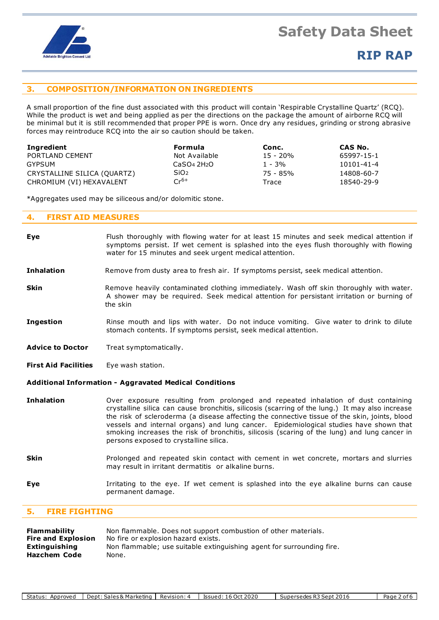

### **3. COMPOSITION/INFORMATION ON INGREDIENTS**

A small proportion of the fine dust associated with this product will contain 'Respirable Crystalline Quartz' (RCQ). While the product is wet and being applied as per the directions on the package the amount of airborne RCQ will be minimal but it is still recommended that proper PPE is worn. Once dry any residues, grinding or strong abrasive forces may reintroduce RCQ into the air so caution should be taken.

| Ingredient                  | Formula          | Conc.    | CAS No.    |
|-----------------------------|------------------|----------|------------|
| PORTLAND CEMENT             | Not Available    | 15 - 20% | 65997-15-1 |
| GYPSUM                      | CaSO4 2H2O       | $1 - 3%$ | 10101-41-4 |
| CRYSTALLINE SILICA (QUARTZ) | SiO <sub>2</sub> | 75 - 85% | 14808-60-7 |
| CHROMIUM (VI) HEXAVALENT    | $Cr^{6+}$        | Trace    | 18540-29-9 |

\*Aggregates used may be siliceous and/or dolomitic stone.

### **4. FIRST AID MEASURES**

| Eye                                                           | Flush thoroughly with flowing water for at least 15 minutes and seek medical attention if<br>symptoms persist. If wet cement is splashed into the eyes flush thoroughly with flowing<br>water for 15 minutes and seek urgent medical attention.                                                                                                                                                                                                                                                                          |  |  |
|---------------------------------------------------------------|--------------------------------------------------------------------------------------------------------------------------------------------------------------------------------------------------------------------------------------------------------------------------------------------------------------------------------------------------------------------------------------------------------------------------------------------------------------------------------------------------------------------------|--|--|
| <b>Inhalation</b>                                             | Remove from dusty area to fresh air. If symptoms persist, seek medical attention.                                                                                                                                                                                                                                                                                                                                                                                                                                        |  |  |
| <b>Skin</b>                                                   | Remove heavily contaminated clothing immediately. Wash off skin thoroughly with water.<br>A shower may be required. Seek medical attention for persistant irritation or burning of<br>the skin                                                                                                                                                                                                                                                                                                                           |  |  |
| <b>Ingestion</b>                                              | Rinse mouth and lips with water. Do not induce vomiting. Give water to drink to dilute<br>stomach contents. If symptoms persist, seek medical attention.                                                                                                                                                                                                                                                                                                                                                                 |  |  |
| <b>Advice to Doctor</b>                                       | Treat symptomatically.                                                                                                                                                                                                                                                                                                                                                                                                                                                                                                   |  |  |
| <b>First Aid Facilities</b>                                   | Eye wash station.                                                                                                                                                                                                                                                                                                                                                                                                                                                                                                        |  |  |
| <b>Additional Information - Aggravated Medical Conditions</b> |                                                                                                                                                                                                                                                                                                                                                                                                                                                                                                                          |  |  |
| <b>Inhalation</b>                                             | Over exposure resulting from prolonged and repeated inhalation of dust containing<br>crystalline silica can cause bronchitis, silicosis (scarring of the lung.) It may also increase<br>the risk of scleroderma (a disease affecting the connective tissue of the skin, joints, blood<br>vessels and internal organs) and lung cancer. Epidemiological studies have shown that<br>smoking increases the risk of bronchitis, silicosis (scaring of the lung) and lung cancer in<br>persons exposed to crystalline silica. |  |  |
| <b>Skin</b>                                                   | Prolonged and repeated skin contact with cement in wet concrete, mortars and slurries<br>may result in irritant dermatitis or alkaline burns.                                                                                                                                                                                                                                                                                                                                                                            |  |  |

**Eye I**rritating to the eye. If wet cement is splashed into the eye alkaline burns can cause permanent damage.

### **5. FIRE FIGHTING**

| <b>Flammability</b>       | Non flammable. Does not support combustion of other materials.        |
|---------------------------|-----------------------------------------------------------------------|
| <b>Fire and Explosion</b> | No fire or explosion hazard exists.                                   |
| Extinguishing             | Non flammable; use suitable extinguishing agent for surrounding fire. |
| Hazchem Code              | None.                                                                 |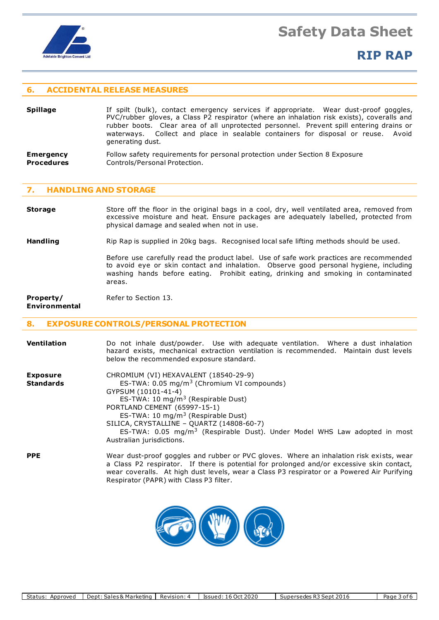

## **RIP RAP**

### **6. ACCIDENTAL RELEASE MEASURES**

- **Spillage** If spilt (bulk), contact emergency services if appropriate. Wear dust-proof goggles, PVC/rubber gloves, a Class P2 respirator (where an inhalation risk exists), coveralls and rubber boots. Clear area of all unprotected personnel. Prevent spill entering drains or waterways. Collect and place in sealable containers for disposal or reuse. Avoid generating dust.
- **Emergency** Follow safety requirements for personal protection under Section 8 Exposure **Procedures Controls/Personal Protection.**

### **7. HANDLING AND STORAGE**

**Storage** Store off the floor in the original bags in a cool, dry, well ventilated area, removed from excessive moisture and heat. Ensure packages are adequately labelled, protected from physical damage and sealed when not in use.

**Handling** Rip Rap is supplied in 20kg bags. Recognised local safe lifting methods should be used.

Before use carefully read the product label. Use of safe work practices are recommended to avoid eye or skin contact and inhalation. Observe good personal hygiene, including washing hands before eating. Prohibit eating, drinking and smoking in contaminated areas.

## **Property/** Refer to Section 13.

**Environmental**

### **8. EXPOSURE CONTROLS/PERSONAL PROTECTION**

| <b>Ventilation</b>                  | Do not inhale dust/powder. Use with adequate ventilation. Where a dust inhalation<br>hazard exists, mechanical extraction ventilation is recommended. Maintain dust levels<br>below the recommended exposure standard.                                                                                                                                                                                                |
|-------------------------------------|-----------------------------------------------------------------------------------------------------------------------------------------------------------------------------------------------------------------------------------------------------------------------------------------------------------------------------------------------------------------------------------------------------------------------|
| <b>Exposure</b><br><b>Standards</b> | CHROMIUM (VI) HEXAVALENT (18540-29-9)<br>ES-TWA: 0.05 mg/m <sup>3</sup> (Chromium VI compounds)<br>GYPSUM (10101-41-4)<br>ES-TWA: 10 $mg/m3$ (Respirable Dust)<br>PORTLAND CEMENT (65997-15-1)<br>ES-TWA: 10 mg/m <sup>3</sup> (Respirable Dust)<br>SILICA, CRYSTALLINE - QUARTZ (14808-60-7)<br>ES-TWA: $0.05$ mg/m <sup>3</sup> (Respirable Dust). Under Model WHS Law adopted in most<br>Australian jurisdictions. |
| <b>PPE</b>                          | Wear dust-proof goggles and rubber or PVC gloves. Where an inhalation risk exists, wear<br>a Class P2 respirator. If there is potential for prolonged and/or excessive skin contact,<br>wear coveralls. At high dust levels, wear a Class P3 respirator or a Powered Air Purifying                                                                                                                                    |



Respirator (PAPR) with Class P3 filter.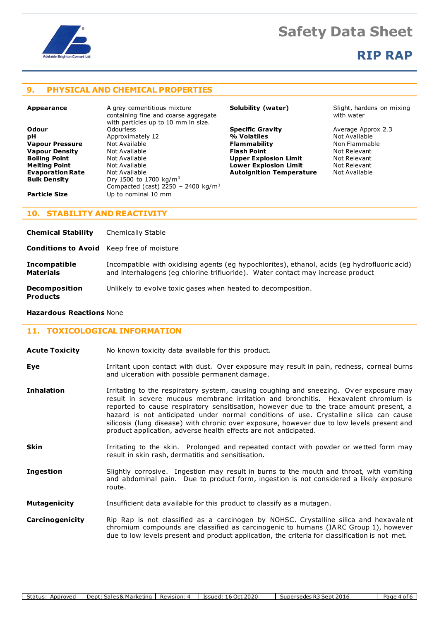

## **RIP RAP**

### **9. PHYSICAL AND CHEMICAL PROPERTIES**

| Odour                   |  |
|-------------------------|--|
| рH                      |  |
| <b>Vapour Pressure</b>  |  |
| <b>Vapour Density</b>   |  |
| <b>Boiling Point</b>    |  |
| <b>Melting Point</b>    |  |
| <b>Evaporation Rate</b> |  |
| <b>Rulk Density</b>     |  |

**Appearance** A grey cementitious mixture containing fine and coarse aggregate with particles up to 10 mm in size.<br>Odourless **Approximately 12 Value 19 Not Available Plammability Flammability** Non Flammable Not Available Not Available Not Relevant **Vapour Density** Mot Available **Flash Point Flash Point** Not Relevant **Boot Available Communist Communist Communist Point Available Point Communist Point Available Point Available Point Available Point Available Point Available Point Available Point Available Point Available Point Available Mot Available <b>Lower Explosion Limit** Mot Relevant<br> **Autoignition Temperature** Not Available **Bulk Density** Dry 1500 to 1700 kg/m<sup>3</sup> Compacted (cast) 2250 - 2400 kg/m<sup>3</sup> **Particle Size** Up to nominal 10 mm

**Specific Gravity Constructs** Average Approx 2.3<br>**% Volatiles Constructs Not Available Autoignition Temperature** 

**Solubility (water)** Slight, hardens on mixing with water

### **10. STABILITY AND REACTIVITY**

| <b>Chemical Stability</b>                        | <b>Chemically Stable</b>                                                                                                                                                        |
|--------------------------------------------------|---------------------------------------------------------------------------------------------------------------------------------------------------------------------------------|
| <b>Conditions to Avoid</b> Keep free of moisture |                                                                                                                                                                                 |
| <b>Incompatible</b><br><b>Materials</b>          | Incompatible with oxidising agents (eg hypochlorites), ethanol, acids (eg hydrofluoric acid)<br>and interhalogens (eg chlorine trifluoride). Water contact may increase product |
| <b>Decomposition</b><br><b>Products</b>          | Unlikely to evolve toxic gases when heated to decomposition.                                                                                                                    |

#### **Hazardous Reactions** None

### **11. TOXICOLOGICAL INFORMATION**

| No known toxicity data available for this product.<br><b>Acute Toxicity</b> |  |
|-----------------------------------------------------------------------------|--|
|-----------------------------------------------------------------------------|--|

**Eye I**rritant upon contact with dust. Over exposure may result in pain, redness, corneal burns and ulceration with possible permanent damage.

**Inhalation** Irritating to the respiratory system, causing coughing and sneezing. Over exposure may result in severe mucous membrane irritation and bronchitis. Hexavalent chromium is reported to cause respiratory sensitisation, however due to the trace amount present, a hazard is not anticipated under normal conditions of use. Crystalline silica can cause silicosis (lung disease) with chronic over exposure, however due to low levels present and product application, adverse health effects are not anticipated.

**Skin** Irritating to the skin. Prolonged and repeated contact with powder or wetted form may result in skin rash, dermatitis and sensitisation.

**Ingestion** Slightly corrosive. Ingestion may result in burns to the mouth and throat, with vomiting and abdominal pain. Due to product form, ingestion is not considered a likely exposure route.

**Mutagenicity** Insufficient data available for this product to classify as a mutagen.

**Carcinogenicity** Rip Rap is not classified as a carcinogen by NOHSC. Crystalline silica and hexavale nt chromium compounds are classified as carcinogenic to humans (IARC Group 1), however due to low levels present and product application, the criteria for classification is not met.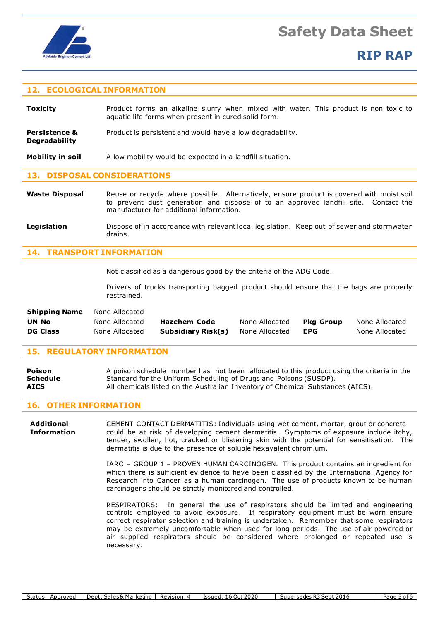

## **RIP RAP**

### **12. ECOLOGICAL INFORMATION**

**Toxicity** Product forms an alkaline slurry when mixed with water. This product is non toxic to aquatic life forms when present in cured solid form.

**Persistence &** Product is persistent and would have a low degradability. **Degradability**

**Mobility in soil** A low mobility would be expected in a landfill situation.

### **13. DISPOSAL CONSIDERATIONS**

Waste Disposal Reuse or recycle where possible. Alternatively, ensure product is covered with moist soil to prevent dust generation and dispose of to an approved landfill site. Contact the manufacturer for additional information.

**Legislation** Dispose of in accordance with relevant local legislation. Keep out of sewer and stormwater drains.

### **14. TRANSPORT INFORMATION**

Not classified as a dangerous good by the criteria of the ADG Code.

Drivers of trucks transporting bagged product should ensure that the bags are properly restrained.

| <b>Shipping Name</b> | None Allocated |                    |                |           |                |
|----------------------|----------------|--------------------|----------------|-----------|----------------|
| UN No                | None Allocated | Hazchem Code       | None Allocated | Pka Group | None Allocated |
| <b>DG Class</b>      | None Allocated | Subsidiary Risk(s) | None Allocated | EPG       | None Allocated |

### **15. REGULATORY INFORMATION**

| <b>Poison</b> | A poison schedule number has not been allocated to this product using the criteria in the |
|---------------|-------------------------------------------------------------------------------------------|
| Schedule      | Standard for the Uniform Scheduling of Drugs and Poisons (SUSDP).                         |
| <b>AICS</b>   | All chemicals listed on the Australian Inventory of Chemical Substances (AICS).           |

#### **16. OTHER INFORMATION**

**Additional** CEMENT CONTACT DERMATITIS: Individuals using wet cement, mortar, grout or concrete **Information** could be at risk of developing cement dermatitis. Symptoms of exposure include itchy, tender, swollen, hot, cracked or blistering skin with the potential for sensitisation. The dermatitis is due to the presence of soluble hexavalent chromium.

> IARC – GROUP 1 – PROVEN HUMAN CARCINOGEN. This product contains an ingredient for which there is sufficient evidence to have been classified by the International Agency for Research into Cancer as a human carcinogen. The use of products known to be human carcinogens should be strictly monitored and controlled.

> RESPIRATORS: In general the use of respirators should be limited and engineering controls employed to avoid exposure. If respiratory equipment must be worn ensure correct respirator selection and training is undertaken. Remember that some respirators may be extremely uncomfortable when used for long periods. The use of air powered or air supplied respirators should be considered where prolonged or repeated use is necessary.